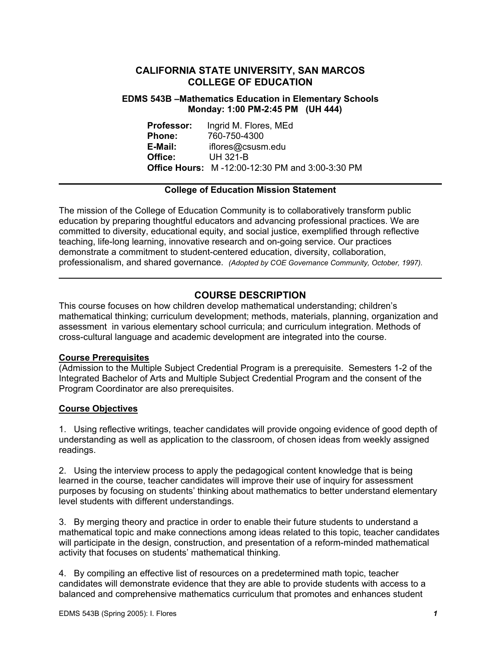# **CALIFORNIA STATE UNIVERSITY, SAN MARCOS COLLEGE OF EDUCATION**

### **EDMS 543B –Mathematics Education in Elementary Schools Monday: 1:00 PM-2:45 PM (UH 444)**

**Professor:** Ingrid M. Flores, MEd **Phone:** 760-750-4300 **E-Mail:** iflores@csusm.edu **Office:** UH 321-B **Office Hours:** M -12:00-12:30 PM and 3:00-3:30 PM

### **College of Education Mission Statement**

The mission of the College of Education Community is to collaboratively transform public education by preparing thoughtful educators and advancing professional practices. We are committed to diversity, educational equity, and social justice, exemplified through reflective teaching, life-long learning, innovative research and on-going service. Our practices demonstrate a commitment to student-centered education, diversity, collaboration, professionalism, and shared governance. *(Adopted by COE Governance Community, October, 1997).* 

# **COURSE DESCRIPTION**

This course focuses on how children develop mathematical understanding; children's mathematical thinking; curriculum development; methods, materials, planning, organization and assessment in various elementary school curricula; and curriculum integration. Methods of cross-cultural language and academic development are integrated into the course.

### **Course Prerequisites**

(Admission to the Multiple Subject Credential Program is a prerequisite. Semesters 1-2 of the Integrated Bachelor of Arts and Multiple Subject Credential Program and the consent of the Program Coordinator are also prerequisites.

### **Course Objectives**

1. Using reflective writings, teacher candidates will provide ongoing evidence of good depth of understanding as well as application to the classroom, of chosen ideas from weekly assigned readings.

2. Using the interview process to apply the pedagogical content knowledge that is being learned in the course, teacher candidates will improve their use of inquiry for assessment purposes by focusing on students' thinking about mathematics to better understand elementary level students with different understandings.

3. By merging theory and practice in order to enable their future students to understand a mathematical topic and make connections among ideas related to this topic, teacher candidates will participate in the design, construction, and presentation of a reform-minded mathematical activity that focuses on students' mathematical thinking.

4. By compiling an effective list of resources on a predetermined math topic, teacher candidates will demonstrate evidence that they are able to provide students with access to a balanced and comprehensive mathematics curriculum that promotes and enhances student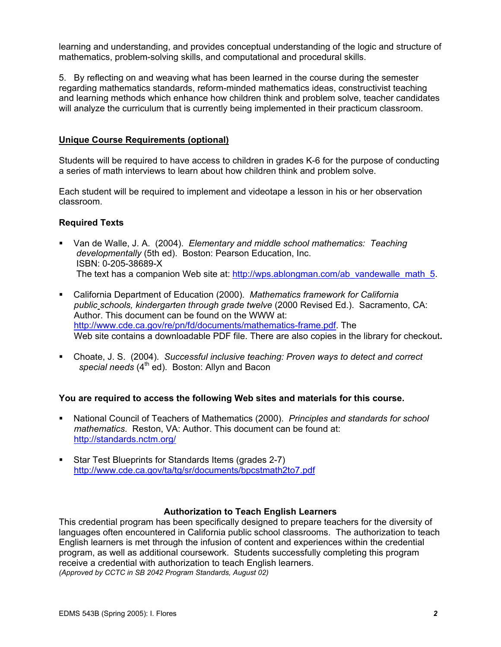learning and understanding, and provides conceptual understanding of the logic and structure of mathematics, problem-solving skills, and computational and procedural skills.

5. By reflecting on and weaving what has been learned in the course during the semester regarding mathematics standards, reform-minded mathematics ideas, constructivist teaching and learning methods which enhance how children think and problem solve, teacher candidates will analyze the curriculum that is currently being implemented in their practicum classroom.

### **Unique Course Requirements (optional)**

Students will be required to have access to children in grades K-6 for the purpose of conducting a series of math interviews to learn about how children think and problem solve.

Each student will be required to implement and videotape a lesson in his or her observation classroom.

### **Required Texts**

- Van de Walle, J. A. (2004). *Elementary and middle school mathematics: Teaching developmentally* (5th ed). Boston: Pearson Education, Inc. ISBN: 0-205-38689-X The text has a companion Web site at: http://wps.ablongman.com/ab\_vandewalle\_math\_5.
- California Department of Education (2000). *Mathematics framework for California public schools, kindergarten through grade twelve* (2000 Revised Ed.). Sacramento, CA: Author. This document can be found on the WWW at: http://www.cde.ca.gov/re/pn/fd/documents/mathematics-frame.pdf. The Web site contains a downloadable PDF file. There are also copies in the library for checkout**.**
- Choate, J. S. (2004). *Successful inclusive teaching: Proven ways to detect and correct*  special needs (4<sup>th</sup> ed). Boston: Allyn and Bacon

#### **You are required to access the following Web sites and materials for this course.**

- National Council of Teachers of Mathematics (2000). *Principles and standards for school mathematics*. Reston, VA: Author. This document can be found at: http://standards.nctm.org/
- Star Test Blueprints for Standards Items (grades 2-7) http://www.cde.ca.gov/ta/tg/sr/documents/bpcstmath2to7.pdf

#### **Authorization to Teach English Learners**

This credential program has been specifically designed to prepare teachers for the diversity of languages often encountered in California public school classrooms. The authorization to teach English learners is met through the infusion of content and experiences within the credential program, as well as additional coursework. Students successfully completing this program receive a credential with authorization to teach English learners. *(Approved by CCTC in SB 2042 Program Standards, August 02)*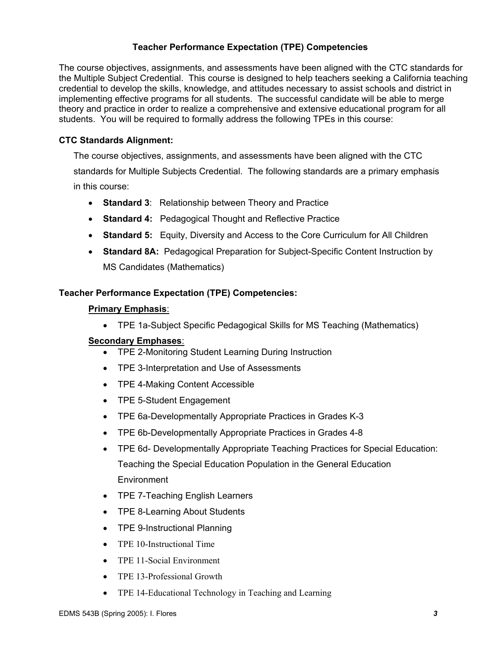# **Teacher Performance Expectation (TPE) Competencies**

The course objectives, assignments, and assessments have been aligned with the CTC standards for the Multiple Subject Credential. This course is designed to help teachers seeking a California teaching credential to develop the skills, knowledge, and attitudes necessary to assist schools and district in implementing effective programs for all students. The successful candidate will be able to merge theory and practice in order to realize a comprehensive and extensive educational program for all students. You will be required to formally address the following TPEs in this course:

### **CTC Standards Alignment:**

The course objectives, assignments, and assessments have been aligned with the CTC standards for Multiple Subjects Credential. The following standards are a primary emphasis in this course:

- **Standard 3**: Relationship between Theory and Practice
- **Standard 4:** Pedagogical Thought and Reflective Practice
- **Standard 5:** Equity, Diversity and Access to the Core Curriculum for All Children
- **Standard 8A:** Pedagogical Preparation for Subject-Specific Content Instruction by MS Candidates (Mathematics)

### **Teacher Performance Expectation (TPE) Competencies:**

### **Primary Emphasis**:

• TPE 1a-Subject Specific Pedagogical Skills for MS Teaching (Mathematics)

### **Secondary Emphases**:

- TPE 2-Monitoring Student Learning During Instruction
- TPE 3-Interpretation and Use of Assessments
- TPE 4-Making Content Accessible
- TPE 5-Student Engagement
- TPE 6a-Developmentally Appropriate Practices in Grades K-3
- TPE 6b-Developmentally Appropriate Practices in Grades 4-8
- TPE 6d- Developmentally Appropriate Teaching Practices for Special Education: Teaching the Special Education Population in the General Education Environment
- TPE 7-Teaching English Learners
- TPE 8-Learning About Students
- TPE 9-Instructional Planning
- TPE 10-Instructional Time
- TPE 11-Social Environment
- TPE 13-Professional Growth
- TPE 14-Educational Technology in Teaching and Learning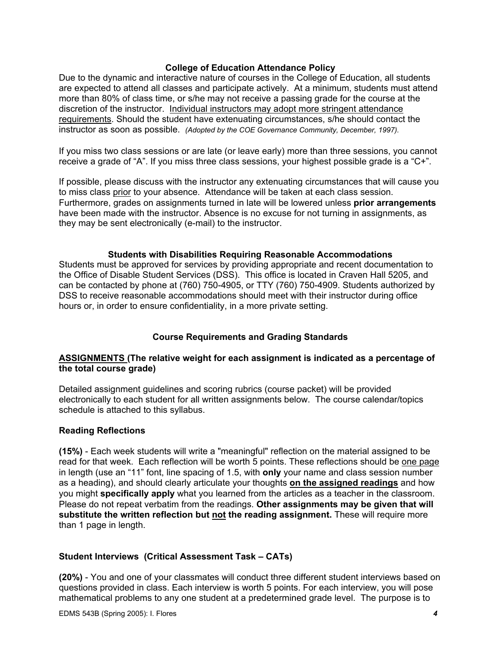### **College of Education Attendance Policy**

Due to the dynamic and interactive nature of courses in the College of Education, all students are expected to attend all classes and participate actively. At a minimum, students must attend more than 80% of class time, or s/he may not receive a passing grade for the course at the discretion of the instructor. Individual instructors may adopt more stringent attendance requirements. Should the student have extenuating circumstances, s/he should contact the instructor as soon as possible. *(Adopted by the COE Governance Community, December, 1997).*

If you miss two class sessions or are late (or leave early) more than three sessions, you cannot receive a grade of "A". If you miss three class sessions, your highest possible grade is a "C+".

If possible, please discuss with the instructor any extenuating circumstances that will cause you to miss class prior to your absence. Attendance will be taken at each class session. Furthermore, grades on assignments turned in late will be lowered unless **prior arrangements**  have been made with the instructor. Absence is no excuse for not turning in assignments, as they may be sent electronically (e-mail) to the instructor.

#### **Students with Disabilities Requiring Reasonable Accommodations**

Students must be approved for services by providing appropriate and recent documentation to the Office of Disable Student Services (DSS). This office is located in Craven Hall 5205, and can be contacted by phone at (760) 750-4905, or TTY (760) 750-4909. Students authorized by DSS to receive reasonable accommodations should meet with their instructor during office hours or, in order to ensure confidentiality, in a more private setting.

### **Course Requirements and Grading Standards**

### **ASSIGNMENTS (The relative weight for each assignment is indicated as a percentage of the total course grade)**

Detailed assignment guidelines and scoring rubrics (course packet) will be provided electronically to each student for all written assignments below. The course calendar/topics schedule is attached to this syllabus.

#### **Reading Reflections**

**(15%)** - Each week students will write a "meaningful" reflection on the material assigned to be read for that week. Each reflection will be worth 5 points. These reflections should be one page in length (use an "11" font, line spacing of 1.5, with **only** your name and class session number as a heading), and should clearly articulate your thoughts **on the assigned readings** and how you might **specifically apply** what you learned from the articles as a teacher in the classroom. Please do not repeat verbatim from the readings. **Other assignments may be given that will substitute the written reflection but not the reading assignment.** These will require more than 1 page in length.

### **Student Interviews (Critical Assessment Task – CATs)**

**(20%)** - You and one of your classmates will conduct three different student interviews based on questions provided in class. Each interview is worth 5 points. For each interview, you will pose mathematical problems to any one student at a predetermined grade level. The purpose is to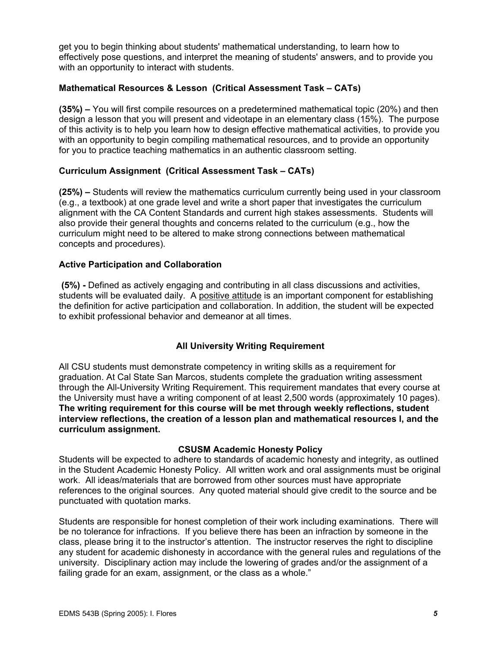get you to begin thinking about students' mathematical understanding, to learn how to effectively pose questions, and interpret the meaning of students' answers, and to provide you with an opportunity to interact with students.

### **Mathematical Resources & Lesson (Critical Assessment Task – CATs)**

**(35%) –** You will first compile resources on a predetermined mathematical topic (20%) and then design a lesson that you will present and videotape in an elementary class (15%). The purpose of this activity is to help you learn how to design effective mathematical activities, to provide you with an opportunity to begin compiling mathematical resources, and to provide an opportunity for you to practice teaching mathematics in an authentic classroom setting.

### **Curriculum Assignment (Critical Assessment Task – CATs)**

**(25%) –** Students will review the mathematics curriculum currently being used in your classroom (e.g., a textbook) at one grade level and write a short paper that investigates the curriculum alignment with the CA Content Standards and current high stakes assessments. Students will also provide their general thoughts and concerns related to the curriculum (e.g., how the curriculum might need to be altered to make strong connections between mathematical concepts and procedures).

### **Active Participation and Collaboration**

 **(5%) -** Defined as actively engaging and contributing in all class discussions and activities, students will be evaluated daily. A positive attitude is an important component for establishing the definition for active participation and collaboration. In addition, the student will be expected to exhibit professional behavior and demeanor at all times.

### **All University Writing Requirement**

All CSU students must demonstrate competency in writing skills as a requirement for graduation. At Cal State San Marcos, students complete the graduation writing assessment through the All-University Writing Requirement. This requirement mandates that every course at the University must have a writing component of at least 2,500 words (approximately 10 pages). **The writing requirement for this course will be met through weekly reflections, student interview reflections, the creation of a lesson plan and mathematical resources l, and the curriculum assignment.**

### **CSUSM Academic Honesty Policy**

Students will be expected to adhere to standards of academic honesty and integrity, as outlined in the Student Academic Honesty Policy. All written work and oral assignments must be original work. All ideas/materials that are borrowed from other sources must have appropriate references to the original sources. Any quoted material should give credit to the source and be punctuated with quotation marks.

Students are responsible for honest completion of their work including examinations. There will be no tolerance for infractions. If you believe there has been an infraction by someone in the class, please bring it to the instructor's attention. The instructor reserves the right to discipline any student for academic dishonesty in accordance with the general rules and regulations of the university. Disciplinary action may include the lowering of grades and/or the assignment of a failing grade for an exam, assignment, or the class as a whole."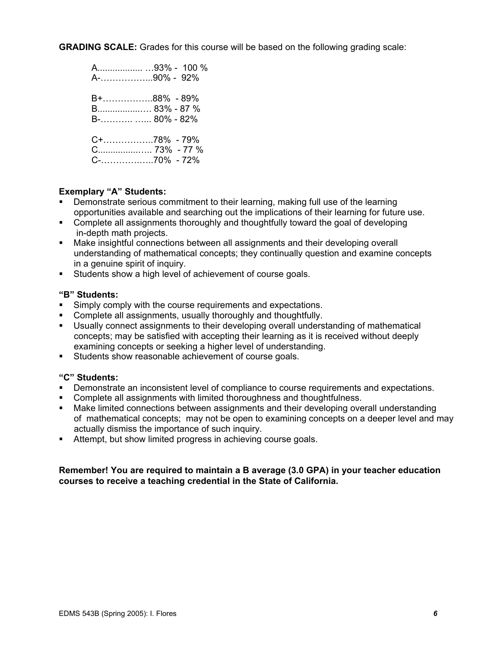**GRADING SCALE:** Grades for this course will be based on the following grading scale:

| A93% - 100 %<br>A-90% - 92%           |
|---------------------------------------|
| B+88% - 89%<br>B 83% - 87 %           |
| C+78% - 79%<br>$C_{\dots}$ 73% - 77 % |

### **Exemplary "A" Students:**

- Demonstrate serious commitment to their learning, making full use of the learning opportunities available and searching out the implications of their learning for future use.
- **Complete all assignments thoroughly and thoughtfully toward the goal of developing** in-depth math projects.
- Make insightful connections between all assignments and their developing overall understanding of mathematical concepts; they continually question and examine concepts in a genuine spirit of inquiry.
- **Students show a high level of achievement of course goals.**

#### **"B" Students:**

- **Simply comply with the course requirements and expectations.**
- Complete all assignments, usually thoroughly and thoughtfully.
- Usually connect assignments to their developing overall understanding of mathematical concepts; may be satisfied with accepting their learning as it is received without deeply examining concepts or seeking a higher level of understanding.
- Students show reasonable achievement of course goals.

#### **"C" Students:**

- Demonstrate an inconsistent level of compliance to course requirements and expectations.
- Complete all assignments with limited thoroughness and thoughtfulness.
- Make limited connections between assignments and their developing overall understanding of mathematical concepts; may not be open to examining concepts on a deeper level and may actually dismiss the importance of such inquiry.
- Attempt, but show limited progress in achieving course goals.

#### **Remember! You are required to maintain a B average (3.0 GPA) in your teacher education courses to receive a teaching credential in the State of California.**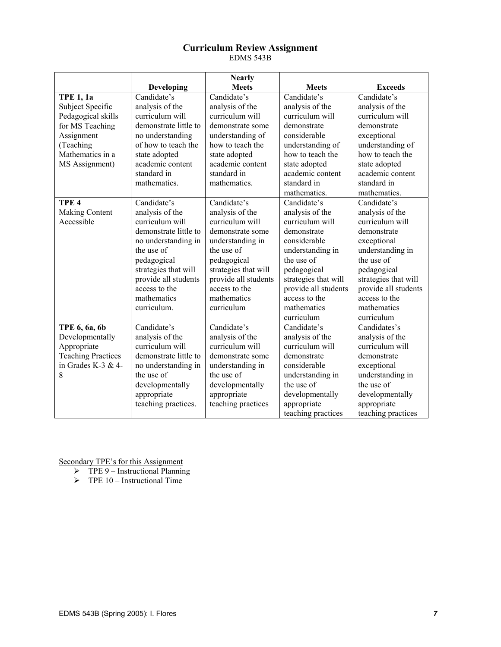#### **Curriculum Review Assignment**  EDMS 543B

|                           |                       | <b>Nearly</b>        |                      |                      |
|---------------------------|-----------------------|----------------------|----------------------|----------------------|
|                           | <b>Developing</b>     | <b>Meets</b>         | <b>Meets</b>         | <b>Exceeds</b>       |
| <b>TPE 1, 1a</b>          | Candidate's           | Candidate's          | Candidate's          | Candidate's          |
| Subject Specific          | analysis of the       | analysis of the      | analysis of the      | analysis of the      |
| Pedagogical skills        | curriculum will       | curriculum will      | curriculum will      | curriculum will      |
| for MS Teaching           | demonstrate little to | demonstrate some     | demonstrate          | demonstrate          |
| Assignment                | no understanding      | understanding of     | considerable         | exceptional          |
| (Teaching                 | of how to teach the   | how to teach the     | understanding of     | understanding of     |
| Mathematics in a          | state adopted         | state adopted        | how to teach the     | how to teach the     |
| MS Assignment)            | academic content      | academic content     | state adopted        | state adopted        |
|                           | standard in           | standard in          | academic content     | academic content     |
|                           | mathematics.          | mathematics.         | standard in          | standard in          |
|                           |                       |                      | mathematics.         | mathematics.         |
| TPE <sub>4</sub>          | Candidate's           | Candidate's          | Candidate's          | Candidate's          |
| <b>Making Content</b>     | analysis of the       | analysis of the      | analysis of the      | analysis of the      |
| Accessible                | curriculum will       | curriculum will      | curriculum will      | curriculum will      |
|                           | demonstrate little to | demonstrate some     | demonstrate          | demonstrate          |
|                           | no understanding in   | understanding in     | considerable         | exceptional          |
|                           | the use of            | the use of           | understanding in     | understanding in     |
|                           | pedagogical           | pedagogical          | the use of           | the use of           |
|                           | strategies that will  | strategies that will | pedagogical          | pedagogical          |
|                           | provide all students  | provide all students | strategies that will | strategies that will |
|                           | access to the         | access to the        | provide all students | provide all students |
|                           | mathematics           | mathematics          | access to the        | access to the        |
|                           | curriculum.           | curriculum           | mathematics          | mathematics          |
|                           |                       |                      | curriculum           | curriculum           |
| TPE 6, 6a, 6b             | Candidate's           | Candidate's          | Candidate's          | Candidates's         |
| Developmentally           | analysis of the       | analysis of the      | analysis of the      | analysis of the      |
| Appropriate               | curriculum will       | curriculum will      | curriculum will      | curriculum will      |
| <b>Teaching Practices</b> | demonstrate little to | demonstrate some     | demonstrate          | demonstrate          |
| in Grades K-3 & 4-        | no understanding in   | understanding in     | considerable         | exceptional          |
| 8                         | the use of            | the use of           | understanding in     | understanding in     |
|                           | developmentally       | developmentally      | the use of           | the use of           |
|                           | appropriate           | appropriate          | developmentally      | developmentally      |
|                           | teaching practices.   | teaching practices   | appropriate          | appropriate          |
|                           |                       |                      | teaching practices   | teaching practices   |

- $\triangleright$  TPE 9 Instructional Planning
- $\triangleright$  TPE 10 Instructional Time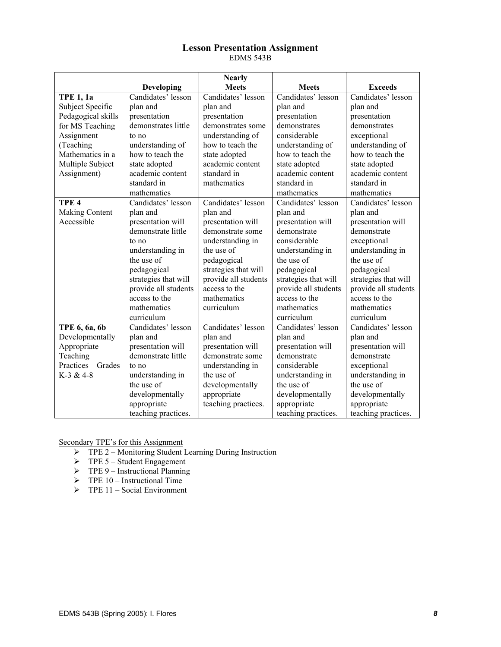#### **Lesson Presentation Assignment**  EDMS 543B

|                    |                      | <b>Nearly</b>        |                      |                      |
|--------------------|----------------------|----------------------|----------------------|----------------------|
|                    | <b>Developing</b>    | <b>Meets</b>         | <b>Meets</b>         | <b>Exceeds</b>       |
| <b>TPE 1, 1a</b>   | Candidates' lesson   | Candidates' lesson   | Candidates' lesson   | Candidates' lesson   |
| Subject Specific   | plan and             | plan and             | plan and             | plan and             |
| Pedagogical skills | presentation         | presentation         | presentation         | presentation         |
| for MS Teaching    | demonstrates little  | demonstrates some    | demonstrates         | demonstrates         |
| Assignment         | to no                | understanding of     | considerable         | exceptional          |
| (Teaching          | understanding of     | how to teach the     | understanding of     | understanding of     |
| Mathematics in a   | how to teach the     | state adopted        | how to teach the     | how to teach the     |
| Multiple Subject   | state adopted        | academic content     | state adopted        | state adopted        |
| Assignment)        | academic content     | standard in          | academic content     | academic content     |
|                    | standard in          | mathematics          | standard in          | standard in          |
|                    | mathematics          |                      | mathematics          | mathematics          |
| TPE <sub>4</sub>   | Candidates' lesson   | Candidates' lesson   | Candidates' lesson   | Candidates' lesson   |
| Making Content     | plan and             | plan and             | plan and             | plan and             |
| Accessible         | presentation will    | presentation will    | presentation will    | presentation will    |
|                    | demonstrate little   | demonstrate some     | demonstrate          | demonstrate          |
|                    | to no                | understanding in     | considerable         | exceptional          |
|                    | understanding in     | the use of           | understanding in     | understanding in     |
|                    | the use of           | pedagogical          | the use of           | the use of           |
|                    | pedagogical          | strategies that will | pedagogical          | pedagogical          |
|                    | strategies that will | provide all students | strategies that will | strategies that will |
|                    | provide all students | access to the        | provide all students | provide all students |
|                    | access to the        | mathematics          | access to the        | access to the        |
|                    | mathematics          | curriculum           | mathematics          | mathematics          |
|                    | curriculum           |                      | curriculum           | curriculum           |
| TPE 6, 6a, 6b      | Candidates' lesson   | Candidates' lesson   | Candidates' lesson   | Candidates' lesson   |
| Developmentally    | plan and             | plan and             | plan and             | plan and             |
| Appropriate        | presentation will    | presentation will    | presentation will    | presentation will    |
| Teaching           | demonstrate little   | demonstrate some     | demonstrate          | demonstrate          |
| Practices - Grades | to no                | understanding in     | considerable         | exceptional          |
| $K-3 & 4-8$        | understanding in     | the use of           | understanding in     | understanding in     |
|                    | the use of           | developmentally      | the use of           | the use of           |
|                    | developmentally      | appropriate          | developmentally      | developmentally      |
|                    | appropriate          | teaching practices.  | appropriate          | appropriate          |
|                    | teaching practices.  |                      | teaching practices.  | teaching practices.  |

- ¾ TPE 2 Monitoring Student Learning During Instruction
- $\triangleright$  TPE 5 Student Engagement
- $\triangleright$  TPE 9 Instructional Planning
- $\triangleright$  TPE 10 Instructional Time
- $\triangleright$  TPE 11 Social Environment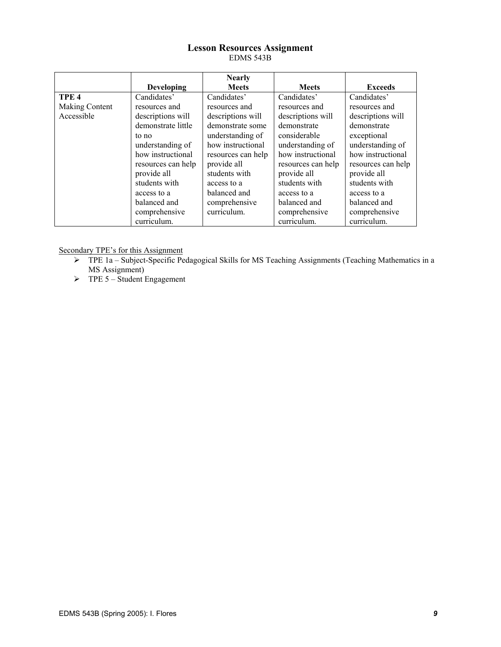#### **Lesson Resources Assignment**  EDMS 543B

|                  |                    | <b>Nearly</b>      |                    |                    |
|------------------|--------------------|--------------------|--------------------|--------------------|
|                  | <b>Developing</b>  | <b>Meets</b>       | <b>Meets</b>       | <b>Exceeds</b>     |
| TPE <sub>4</sub> | Candidates'        | Candidates'        | Candidates'        | Candidates'        |
| Making Content   | resources and      | resources and      | resources and      | resources and      |
| Accessible       | descriptions will  | descriptions will  | descriptions will  | descriptions will  |
|                  | demonstrate little | demonstrate some   | demonstrate        | demonstrate        |
|                  | to no              | understanding of   | considerable       | exceptional        |
|                  | understanding of   | how instructional  | understanding of   | understanding of   |
|                  | how instructional  | resources can help | how instructional  | how instructional  |
|                  | resources can help | provide all        | resources can help | resources can help |
|                  | provide all        | students with      | provide all        | provide all        |
|                  | students with      | access to a        | students with      | students with      |
|                  | access to a        | balanced and       | access to a        | access to a        |
|                  | balanced and       | comprehensive      | balanced and       | balanced and       |
|                  | comprehensive      | curriculum.        | comprehensive      | comprehensive      |
|                  | curriculum.        |                    | curriculum.        | curriculum.        |

- ¾ TPE 1a Subject-Specific Pedagogical Skills for MS Teaching Assignments (Teaching Mathematics in a MS Assignment)
- $\triangleright$  TPE 5 Student Engagement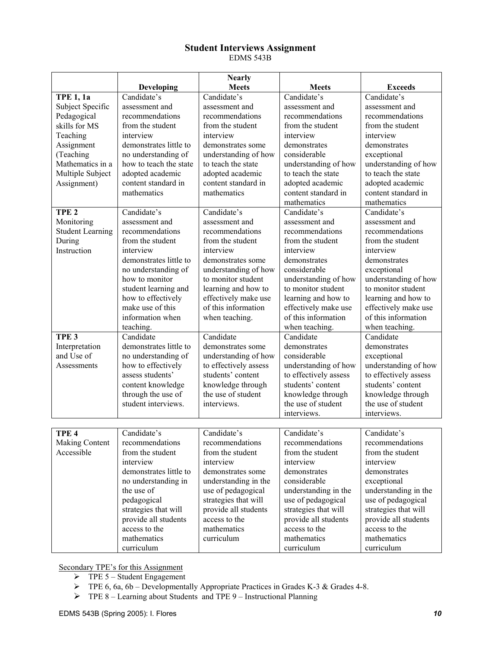#### **Student Interviews Assignment**  EDMS 543B

|                         |                        | <b>Nearly</b>         |                       |                       |
|-------------------------|------------------------|-----------------------|-----------------------|-----------------------|
|                         | <b>Developing</b>      | <b>Meets</b>          | <b>Meets</b>          | <b>Exceeds</b>        |
| <b>TPE 1, 1a</b>        | Candidate's            | Candidate's           | Candidate's           | Candidate's           |
| Subject Specific        | assessment and         | assessment and        | assessment and        | assessment and        |
| Pedagogical             | recommendations        | recommendations       | recommendations       | recommendations       |
| skills for MS           | from the student       | from the student      | from the student      | from the student      |
| Teaching                | interview              | interview             | interview             | interview             |
| Assignment              | demonstrates little to | demonstrates some     | demonstrates          | demonstrates          |
| (Teaching               | no understanding of    | understanding of how  | considerable          | exceptional           |
| Mathematics in a        | how to teach the state | to teach the state    | understanding of how  | understanding of how  |
| Multiple Subject        | adopted academic       | adopted academic      | to teach the state    | to teach the state    |
| Assignment)             | content standard in    | content standard in   | adopted academic      | adopted academic      |
|                         | mathematics            | mathematics           | content standard in   | content standard in   |
|                         |                        |                       | mathematics           | mathematics           |
| TPE <sub>2</sub>        | Candidate's            | Candidate's           | Candidate's           | Candidate's           |
| Monitoring              | assessment and         | assessment and        | assessment and        | assessment and        |
| <b>Student Learning</b> | recommendations        | recommendations       | recommendations       | recommendations       |
| During                  | from the student       | from the student      | from the student      | from the student      |
| Instruction             | interview              | interview             | interview             | interview             |
|                         | demonstrates little to | demonstrates some     | demonstrates          | demonstrates          |
|                         | no understanding of    | understanding of how  | considerable          | exceptional           |
|                         | how to monitor         | to monitor student    | understanding of how  | understanding of how  |
|                         | student learning and   | learning and how to   | to monitor student    | to monitor student    |
|                         | how to effectively     | effectively make use  | learning and how to   | learning and how to   |
|                         | make use of this       | of this information   | effectively make use  | effectively make use  |
|                         | information when       | when teaching.        | of this information   | of this information   |
|                         | teaching.              |                       | when teaching.        | when teaching.        |
| TPE <sub>3</sub>        | Candidate              | Candidate             | Candidate             | Candidate             |
| Interpretation          | demonstrates little to | demonstrates some     | demonstrates          | demonstrates          |
| and Use of              | no understanding of    | understanding of how  | considerable          | exceptional           |
| Assessments             | how to effectively     | to effectively assess | understanding of how  | understanding of how  |
|                         | assess students'       | students' content     | to effectively assess | to effectively assess |
|                         | content knowledge      | knowledge through     | students' content     | students' content     |
|                         | through the use of     | the use of student    | knowledge through     | knowledge through     |
|                         | student interviews.    | interviews.           | the use of student    | the use of student    |
|                         |                        |                       | interviews.           | interviews.           |
|                         |                        |                       |                       |                       |
| TPE <sub>4</sub>        | Candidate's            | Candidate's           | Candidate's           | Candidate's           |
| Making Content          | recommendations        | recommendations       | recommendations       | recommendations       |
| Accessible              | from the student       | from the student      | from the student      | from the student      |
|                         | interview              | interview             | interview             | interview             |
|                         | demonstrates little to | demonstrates some     | demonstrates          | demonstrates          |
|                         | no understanding in    | understanding in the  | considerable          | exceptional           |
|                         | the use of             | use of pedagogical    | understanding in the  | understanding in the  |
|                         | pedagogical            | strategies that will  | use of pedagogical    | use of pedagogical    |
|                         | strategies that will   | provide all students  | strategies that will  | strategies that will  |
|                         | provide all students   | access to the         | provide all students  | provide all students  |
|                         | access to the          | mathematics           | access to the         | access to the         |
|                         | mathematics            | curriculum            | mathematics           | mathematics           |
|                         | curriculum             |                       | curriculum            | curriculum            |

- $\triangleright$  TPE 5 Student Engagement
- $\triangleright$  TPE 6, 6a, 6b Developmentally Appropriate Practices in Grades K-3 & Grades 4-8.
- $\triangleright$  TPE 8 Learning about Students and TPE 9 Instructional Planning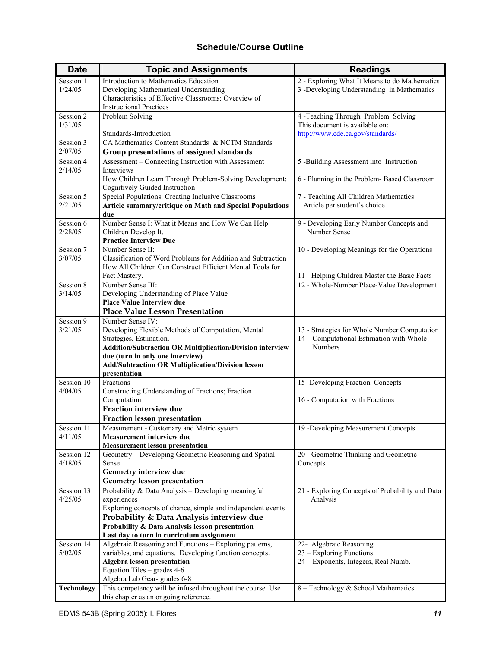# **Schedule/Course Outline**

| <b>Date</b>          | <b>Topic and Assignments</b>                                                                                              | <b>Readings</b>                                 |
|----------------------|---------------------------------------------------------------------------------------------------------------------------|-------------------------------------------------|
| Session 1            | Introduction to Mathematics Education                                                                                     | 2 - Exploring What It Means to do Mathematics   |
| 1/24/05              | Developing Mathematical Understanding                                                                                     | 3 -Developing Understanding in Mathematics      |
|                      | Characteristics of Effective Classrooms: Overview of                                                                      |                                                 |
|                      | <b>Instructional Practices</b>                                                                                            |                                                 |
| Session 2            | Problem Solving                                                                                                           | 4 -Teaching Through Problem Solving             |
| 1/31/05              |                                                                                                                           | This document is available on:                  |
|                      | Standards-Introduction                                                                                                    | http://www.cde.ca.gov/standards/                |
| Session 3<br>2/07/05 | CA Mathematics Content Standards & NCTM Standards                                                                         |                                                 |
|                      | Group presentations of assigned standards                                                                                 |                                                 |
| Session 4<br>2/14/05 | Assessment - Connecting Instruction with Assessment<br>Interviews                                                         | 5 -Building Assessment into Instruction         |
|                      | How Children Learn Through Problem-Solving Development:                                                                   | 6 - Planning in the Problem- Based Classroom    |
|                      | Cognitively Guided Instruction                                                                                            |                                                 |
| Session 5            | Special Populations: Creating Inclusive Classrooms                                                                        | 7 - Teaching All Children Mathematics           |
| 2/21/05              | Article summary/critique on Math and Special Populations                                                                  | Article per student's choice                    |
|                      | due                                                                                                                       |                                                 |
| Session 6            | Number Sense I: What it Means and How We Can Help                                                                         | 9 - Developing Early Number Concepts and        |
| 2/28/05              | Children Develop It.                                                                                                      | Number Sense                                    |
|                      | <b>Practice Interview Due</b>                                                                                             |                                                 |
| Session 7            | Number Sense II:                                                                                                          | 10 - Developing Meanings for the Operations     |
| 3/07/05              | Classification of Word Problems for Addition and Subtraction<br>How All Children Can Construct Efficient Mental Tools for |                                                 |
|                      | Fact Mastery.                                                                                                             | 11 - Helping Children Master the Basic Facts    |
| Session 8            | Number Sense III:                                                                                                         | 12 - Whole-Number Place-Value Development       |
| 3/14/05              | Developing Understanding of Place Value                                                                                   |                                                 |
|                      | <b>Place Value Interview due</b>                                                                                          |                                                 |
|                      | <b>Place Value Lesson Presentation</b>                                                                                    |                                                 |
| Session 9            | Number Sense IV:                                                                                                          |                                                 |
| 3/21/05              | Developing Flexible Methods of Computation, Mental                                                                        | 13 - Strategies for Whole Number Computation    |
|                      | Strategies, Estimation.                                                                                                   | 14 - Computational Estimation with Whole        |
|                      | <b>Addition/Subtraction OR Multiplication/Division interview</b>                                                          | <b>Numbers</b>                                  |
|                      | due (turn in only one interview)                                                                                          |                                                 |
|                      | <b>Add/Subtraction OR Multiplication/Division lesson</b>                                                                  |                                                 |
| Session 10           | presentation<br>Fractions                                                                                                 | 15 -Developing Fraction Concepts                |
| 4/04/05              | Constructing Understanding of Fractions; Fraction                                                                         |                                                 |
|                      | Computation                                                                                                               | 16 - Computation with Fractions                 |
|                      | <b>Fraction interview due</b>                                                                                             |                                                 |
|                      | <b>Fraction lesson presentation</b>                                                                                       |                                                 |
| Session 11           | Measurement - Customary and Metric system                                                                                 | 19 -Developing Measurement Concepts             |
| 4/11/05              | <b>Measurement interview due</b>                                                                                          |                                                 |
|                      | <b>Measurement lesson presentation</b>                                                                                    |                                                 |
| Session 12           | Geometry - Developing Geometric Reasoning and Spatial                                                                     | 20 - Geometric Thinking and Geometric           |
| 4/18/05              | Sense                                                                                                                     | Concepts                                        |
|                      | Geometry interview due                                                                                                    |                                                 |
|                      | Geometry lesson presentation                                                                                              |                                                 |
| Session 13           | Probability & Data Analysis - Developing meaningful<br>experiences                                                        | 21 - Exploring Concepts of Probability and Data |
| 4/25/05              | Exploring concepts of chance, simple and independent events                                                               | Analysis                                        |
|                      | Probability & Data Analysis interview due                                                                                 |                                                 |
|                      | Probability & Data Analysis lesson presentation                                                                           |                                                 |
|                      | Last day to turn in curriculum assignment                                                                                 |                                                 |
| Session 14           | Algebraic Reasoning and Functions - Exploring patterns,                                                                   | 22- Algebraic Reasoning                         |
| 5/02/05              | variables, and equations. Developing function concepts.                                                                   | 23 – Exploring Functions                        |
|                      | Algebra lesson presentation                                                                                               | 24 – Exponents, Integers, Real Numb.            |
|                      | Equation Tiles – grades 4-6                                                                                               |                                                 |
|                      | Algebra Lab Gear-grades 6-8                                                                                               |                                                 |
| <b>Technology</b>    | This competency will be infused throughout the course. Use                                                                | 8 - Technology & School Mathematics             |
|                      | this chapter as an ongoing reference.                                                                                     |                                                 |

 $\mathbf{r}$